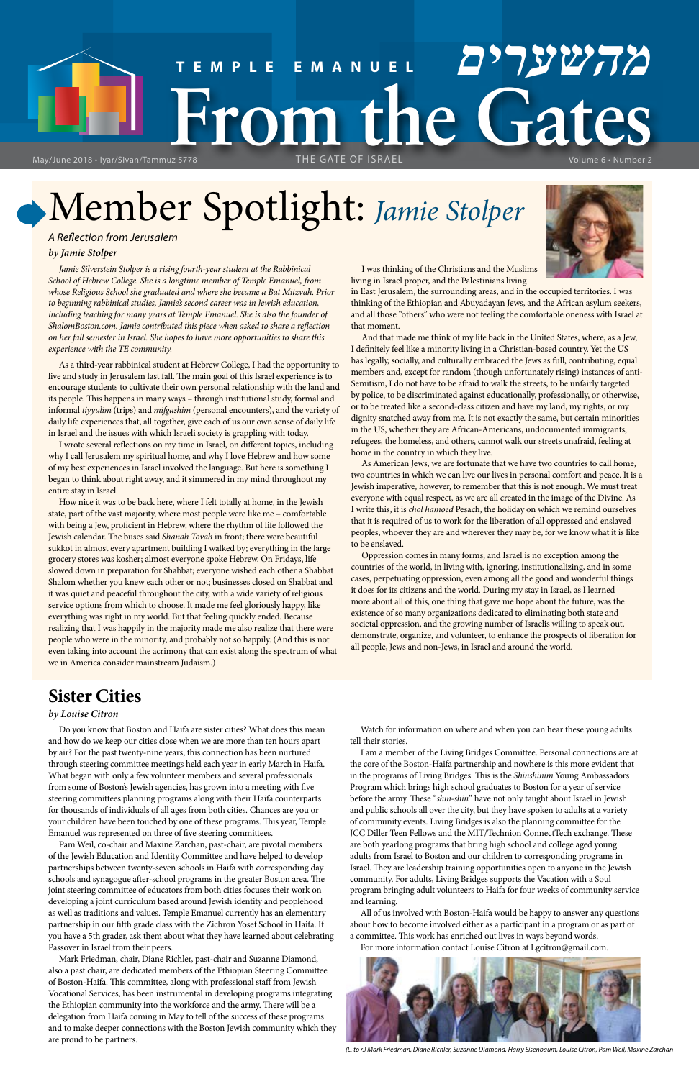Member Spotlight: *Jamie Stolper*

# **TEMPLE EMANUEL מהשערים From the Gates** THE GATE OF ISRAEL Volume 6 • Number 2

May/June 2018 • Iyar/Sivan/Tammuz 5778

# **Sister Cities**

## *by Louise Citron*

Do you know that Boston and Haifa are sister cities? What does this mean and how do we keep our cities close when we are more than ten hours apart by air? For the past twenty-nine years, this connection has been nurtured through steering committee meetings held each year in early March in Haifa. What began with only a few volunteer members and several professionals from some of Boston's Jewish agencies, has grown into a meeting with five

steering committees planning programs along with their Haifa counterparts for thousands of individuals of all ages from both cities. Chances are you or your children have been touched by one of these programs. This year, Temple Emanuel was represented on three of five steering committees.

Pam Weil, co-chair and Maxine Zarchan, past-chair, are pivotal members of the Jewish Education and Identity Committee and have helped to develop partnerships between twenty-seven schools in Haifa with corresponding day schools and synagogue after-school programs in the greater Boston area. The joint steering committee of educators from both cities focuses their work on developing a joint curriculum based around Jewish identity and peoplehood as well as traditions and values. Temple Emanuel currently has an elementary partnership in our fifth grade class with the Zichron Yosef School in Haifa. If you have a 5th grader, ask them about what they have learned about celebrating Passover in Israel from their peers.

Mark Friedman, chair, Diane Richler, past-chair and Suzanne Diamond, also a past chair, are dedicated members of the Ethiopian Steering Committee of Boston-Haifa. This committee, along with professional staff from Jewish Vocational Services, has been instrumental in developing programs integrating the Ethiopian community into the workforce and the army. There will be a delegation from Haifa coming in May to tell of the success of these programs and to make deeper connections with the Boston Jewish community which they are proud to be partners.

Jamie Silverstein Stolper is a rising fourth-year student at the Rabbinical *School of Hebrew College. She is a longtime member of Temple Emanuel, from whose Religious School she graduated and where she became a Bat Mitzvah. Prior to beginning rabbinical studies, Jamie's second career was in Jewish education,*  including teaching for many years at Temple Emanuel. She is also the founder of *ShalomBoston.com. Jamie contributed this piece when asked to share a reflection on her fall semester in Israel. She hopes to have more opportunities to share this experience with the TE community.*

> Watch for information on where and when you can hear these young adults tell their stories.

I am a member of the Living Bridges Committee. Personal connections are at the core of the Boston-Haifa partnership and nowhere is this more evident that in the programs of Living Bridges. This is the *Shinshinim* Young Ambassadors Program which brings high school graduates to Boston for a year of service

before the army. These "*shin-shin*" have not only taught about Israel in Jewish and public schools all over the city, but they have spoken to adults at a variety of community events. Living Bridges is also the planning committee for the JCC Diller Teen Fellows and the MIT/Technion ConnectTech exchange. These are both yearlong programs that bring high school and college aged young adults from Israel to Boston and our children to corresponding programs in Israel. They are leadership training opportunities open to anyone in the Jewish community. For adults, Living Bridges supports the Vacation with a Soul program bringing adult volunteers to Haifa for four weeks of community service and learning.

All of us involved with Boston-Haifa would be happy to answer any questions about how to become involved either as a participant in a program or as part of a committee. This work has enriched out lives in ways beyond words. For more information contact Louise Citron at Lgcitron@gmail.com.



*(L. to r.) Mark Friedman, Diane Richler, Suzanne Diamond, Harry Eisenbaum, Louise Citron, Pam Weil, Maxine Zarchan*

*A Reflection from Jerusalem*

### *by Jamie Stolper*

As a third-year rabbinical student at Hebrew College, I had the opportunity to live and study in Jerusalem last fall. The main goal of this Israel experience is to encourage students to cultivate their own personal relationship with the land and its people. This happens in many ways – through institutional study, formal and informal *tiyyulim* (trips) and *mifgashim* (personal encounters), and the variety of daily life experiences that, all together, give each of us our own sense of daily life in Israel and the issues with which Israeli society is grappling with today.

I wrote several reflections on my time in Israel, on different topics, including why I call Jerusalem my spiritual home, and why I love Hebrew and how some of my best experiences in Israel involved the language. But here is something I began to think about right away, and it simmered in my mind throughout my entire stay in Israel.

How nice it was to be back here, where I felt totally at home, in the Jewish state, part of the vast majority, where most people were like me – comfortable with being a Jew, proficient in Hebrew, where the rhythm of life followed the Jewish calendar. The buses said *Shanah Tovah* in front; there were beautiful sukkot in almost every apartment building I walked by; everything in the large grocery stores was kosher; almost everyone spoke Hebrew. On Fridays, life slowed down in preparation for Shabbat; everyone wished each other a Shabbat Shalom whether you knew each other or not; businesses closed on Shabbat and it was quiet and peaceful throughout the city, with a wide variety of religious service options from which to choose. It made me feel gloriously happy, like everything was right in my world. But that feeling quickly ended. Because realizing that I was happily in the majority made me also realize that there were people who were in the minority, and probably not so happily. (And this is not even taking into account the acrimony that can exist along the spectrum of what we in America consider mainstream Judaism.)



I was thinking of the Christians and the Muslims living in Israel proper, and the Palestinians living

in East Jerusalem, the surrounding areas, and in the occupied territories. I was thinking of the Ethiopian and Abuyadayan Jews, and the African asylum seekers, and all those "others" who were not feeling the comfortable oneness with Israel at that moment.

And that made me think of my life back in the United States, where, as a Jew, I definitely feel like a minority living in a Christian-based country. Yet the US has legally, socially, and culturally embraced the Jews as full, contributing, equal members and, except for random (though unfortunately rising) instances of anti-Semitism, I do not have to be afraid to walk the streets, to be unfairly targeted by police, to be discriminated against educationally, professionally, or otherwise, or to be treated like a second-class citizen and have my land, my rights, or my dignity snatched away from me. It is not exactly the same, but certain minorities in the US, whether they are African-Americans, undocumented immigrants, refugees, the homeless, and others, cannot walk our streets unafraid, feeling at home in the country in which they live.

As American Jews, we are fortunate that we have two countries to call home, two countries in which we can live our lives in personal comfort and peace. It is a Jewish imperative, however, to remember that this is not enough. We must treat everyone with equal respect, as we are all created in the image of the Divine. As I write this, it is *chol hamoed* Pesach, the holiday on which we remind ourselves that it is required of us to work for the liberation of all oppressed and enslaved peoples, whoever they are and wherever they may be, for we know what it is like to be enslaved.

Oppression comes in many forms, and Israel is no exception among the countries of the world, in living with, ignoring, institutionalizing, and in some cases, perpetuating oppression, even among all the good and wonderful things it does for its citizens and the world. During my stay in Israel, as I learned more about all of this, one thing that gave me hope about the future, was the existence of so many organizations dedicated to eliminating both state and societal oppression, and the growing number of Israelis willing to speak out, demonstrate, organize, and volunteer, to enhance the prospects of liberation for all people, Jews and non-Jews, in Israel and around the world.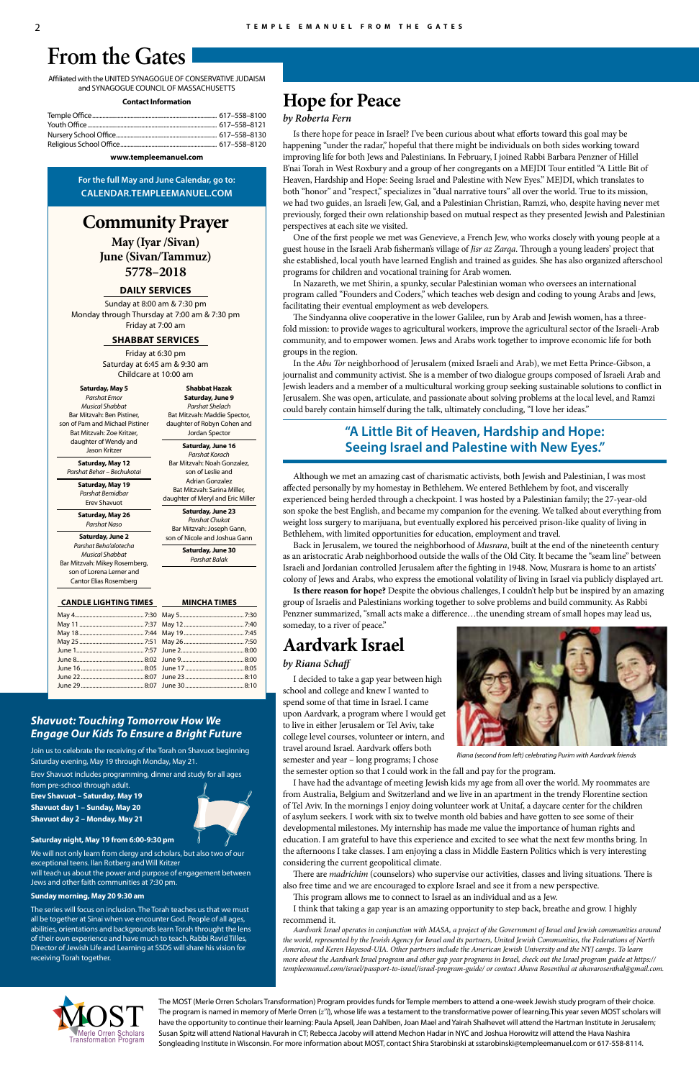# **Hope for Peace**

### *by Roberta Fern*

Is there hope for peace in Israel? I've been curious about what efforts toward this goal may be happening "under the radar," hopeful that there might be individuals on both sides working toward improving life for both Jews and Palestinians. In February, I joined Rabbi Barbara Penzner of Hillel B'nai Torah in West Roxbury and a group of her congregants on a MEJDI Tour entitled "A Little Bit of Heaven, Hardship and Hope: Seeing Israel and Palestine with New Eyes." MEJDI, which translates to both "honor" and "respect," specializes in "dual narrative tours" all over the world. True to its mission, we had two guides, an Israeli Jew, Gal, and a Palestinian Christian, Ramzi, who, despite having never met previously, forged their own relationship based on mutual respect as they presented Jewish and Palestinian perspectives at each site we visited.

One of the first people we met was Genevieve, a French Jew, who works closely with young people at a guest house in the Israeli Arab fisherman's village of *Jisr az Zarqa*. Through a young leaders' project that she established, local youth have learned English and trained as guides. She has also organized afterschool programs for children and vocational training for Arab women.

In Nazareth, we met Shirin, a spunky, secular Palestinian woman who oversees an international program called "Founders and Coders," which teaches web design and coding to young Arabs and Jews, facilitating their eventual employment as web developers.

The Sindyanna olive cooperative in the lower Galilee, run by Arab and Jewish women, has a threefold mission: to provide wages to agricultural workers, improve the agricultural sector of the Israeli-Arab community, and to empower women. Jews and Arabs work together to improve economic life for both groups in the region.

In the *Abu Tor* neighborhood of Jerusalem (mixed Israeli and Arab), we met Eetta Prince-Gibson, a journalist and community activist. She is a member of two dialogue groups composed of Israeli Arab and Jewish leaders and a member of a multicultural working group seeking sustainable solutions to conflict in Jerusalem. She was open, articulate, and passionate about solving problems at the local level, and Ramzi could barely contain himself during the talk, ultimately concluding, "I love her ideas."

# **"A Little Bit of Heaven, Hardship and Hope: Seeing Israel and Palestine with New Eyes."**

Although we met an amazing cast of charismatic activists, both Jewish and Palestinian, I was most affected personally by my homestay in Bethlehem. We entered Bethlehem by foot, and viscerally experienced being herded through a checkpoint. I was hosted by a Palestinian family; the 27-year-old son spoke the best English, and became my companion for the evening. We talked about everything from weight loss surgery to marijuana, but eventually explored his perceived prison-like quality of living in Bethlehem, with limited opportunities for education, employment and travel.

Back in Jerusalem, we toured the neighborhood of *Musrara*, built at the end of the nineteenth century as an aristocratic Arab neighborhood outside the walls of the Old City. It became the "seam line" between Israeli and Jordanian controlled Jerusalem after the fighting in 1948. Now, Musrara is home to an artists' colony of Jews and Arabs, who express the emotional volatility of living in Israel via publicly displayed art.

**Is there reason for hope?** Despite the obvious challenges, I couldn't help but be inspired by an amazing group of Israelis and Palestinians working together to solve problems and build community. As Rabbi Penzner summarized, "small acts make a difference…the unending stream of small hopes may lead us, someday, to a river of peace."

# **Aardvark Israel**

### *by Riana Schaff*

I decided to take a gap year between high school and college and knew I wanted to spend some of that time in Israel. I came upon Aardvark, a program where I would get to live in either Jerusalem or Tel Aviv, take college level courses, volunteer or intern, and travel around Israel. Aardvark offers both semester and year – long programs; I chose

the semester option so that I could work in the fall and pay for the program.

I have had the advantage of meeting Jewish kids my age from all over the world. My roommates are

from Australia, Belgium and Switzerland and we live in an apartment in the trendy Florentine section of Tel Aviv. In the mornings I enjoy doing volunteer work at Unitaf, a daycare center for the children of asylum seekers. I work with six to twelve month old babies and have gotten to see some of their developmental milestones. My internship has made me value the importance of human rights and education. I am grateful to have this experience and excited to see what the next few months bring. In the afternoons I take classes. I am enjoying a class in Middle Eastern Politics which is very interesting considering the current geopolitical climate.

There are *madrichim* (counselors) who supervise our activities, classes and living situations. There is also free time and we are encouraged to explore Israel and see it from a new perspective.

This program allows me to connect to Israel as an individual and as a Jew.

I think that taking a gap year is an amazing opportunity to step back, breathe and grow. I highly recommend it.

*Aardvark Israel operates in conjunction with MASA, a project of the Government of Israel and Jewish communities around the world, represented by the Jewish Agency for Israel and its partners, United Jewish Communities, the Federations of North America, and Keren Hayesod-UIA. Other partners include the American Jewish University and the NYJ camps. To learn more about the Aardvark Israel program and other gap year programs in Israel, check out the Israel program guide at https:// templeemanuel.com/israel/passport-to-israel/israel-program-guide/ or contact Ahava Rosenthal at ahavarosenthal@gmail.com.*

# **Community Prayer**

**May (Iyar /Sivan) June (Sivan/Tammuz) 5778–2018**

### **DAILY SERVICES**

Sunday at 8:00 am & 7:30 pm Monday through Thursday at 7:00 am & 7:30 pm Friday at 7:00 am

#### **SHABBAT SERVICES**

Friday at 6:30 pm Saturday at 6:45 am & 9:30 am Childcare at 10:00 am

Affiliated with the UNITED SYNAGOGUE OF CONSERVATIVE JUDAISM and SYNAGOGUE COUNCIL OF MASSACHUSETTS

#### **Contact Information**

**www.templeemanuel.com**

**For the full May and June Calendar, go to: CALENDAR.TEMPLEEMANUEL.COM**

# **From the Gates**

**CANDLE LIGHTING TIMES**

### **MINCHA TIMES**

**Saturday, May 5** *Parshat Emor Musical Shabbat* Bar Mitzvah: Ben Pistiner, son of Pam and Michael Pistiner Bat Mitzvah: Zoe Kritzer, daughter of Wendy and Jason Kritzer

**Saturday, May 12** *Parshat Behar – Bechukotai*

**Saturday, May 19** *Parshat Bemidbar*

Erev Shavuot **Saturday, May 26**

*Parshat Naso*

**Saturday, June 2** *Parshat Beha'alotecha Musical Shabbat* Bar Mitzvah: Mikey Rosemberg, son of Lorena Lerner and Cantor Elias Rosemberg

**Shabbat Hazak Saturday, June 9** *Parshat Shelach*

Bat Mitzvah: Maddie Spector, daughter of Robyn Cohen and Jordan Spector **Saturday, June 16** *Parshat Korach* Bar Mitzvah: Noah Gonzalez,

son of Leslie and Adrian Gonzalez Bat Mitzvah: Sarina Miller, daughter of Meryl and Eric Miller

**Saturday, June 23** *Parshat Chukat*

Bar Mitzvah: Joseph Gann, son of Nicole and Joshua Gann

**Saturday, June 30** *Parshat Balak*

# *Shavuot: Touching Tomorrow How We Engage Our Kids To Ensure a Bright Future*

Join us to celebrate the receiving of the Torah on Shavuot beginning Saturday evening, May 19 through Monday, May 21. Erev Shavuot includes programming, dinner and study for all ages from pre-school through adult.

**Erev Shavuot – Saturday, May 19 Shavuot day 1 – Sunday, May 20 Shavuot day 2 – Monday, May 21**

#### **Saturday night, May 19 from 6:00-9:30 pm**

We will not only learn from clergy and scholars, but also two of our exceptional teens. Ilan Rotberg and Will Kritzer will teach us about the power and purpose of engagement between Jews and other faith communities at 7:30 pm.

#### **Sunday morning, May 20 9:30 am**

The series will focus on inclusion. The Torah teaches us that we must all be together at Sinai when we encounter God. People of all ages, abilities, orientations and backgrounds learn Torah throught the lens of their own experience and have much to teach. Rabbi Ravid Tilles, Director of Jewish Life and Learning at SSDS will share his vision for receiving Torah together.





*Riana (second from left) celebrating Purim with Aardvark friends*

The MOST (Merle Orren Scholars Transformation) Program provides funds for Temple members to attend a one-week Jewish study program of their choice. The program is named in memory of Merle Orren (*z"l*), whose life was a testament to the transformative power of learning.This year seven MOST scholars will have the opportunity to continue their learning: Paula Apsell, Jean Dahlben, Joan Mael and Yairah Shalhevet will attend the Hartman Institute in Jerusalem; Susan Spitz will attend National Havurah in CT; Rebecca Jacoby will attend Mechon Hadar in NYC and Joshua Horowitz will attend the Hava Nashira Songleading Institute in Wisconsin. For more information about MOST, contact Shira Starobinski at sstarobinski@templeemanuel.com or 617-558-8114.

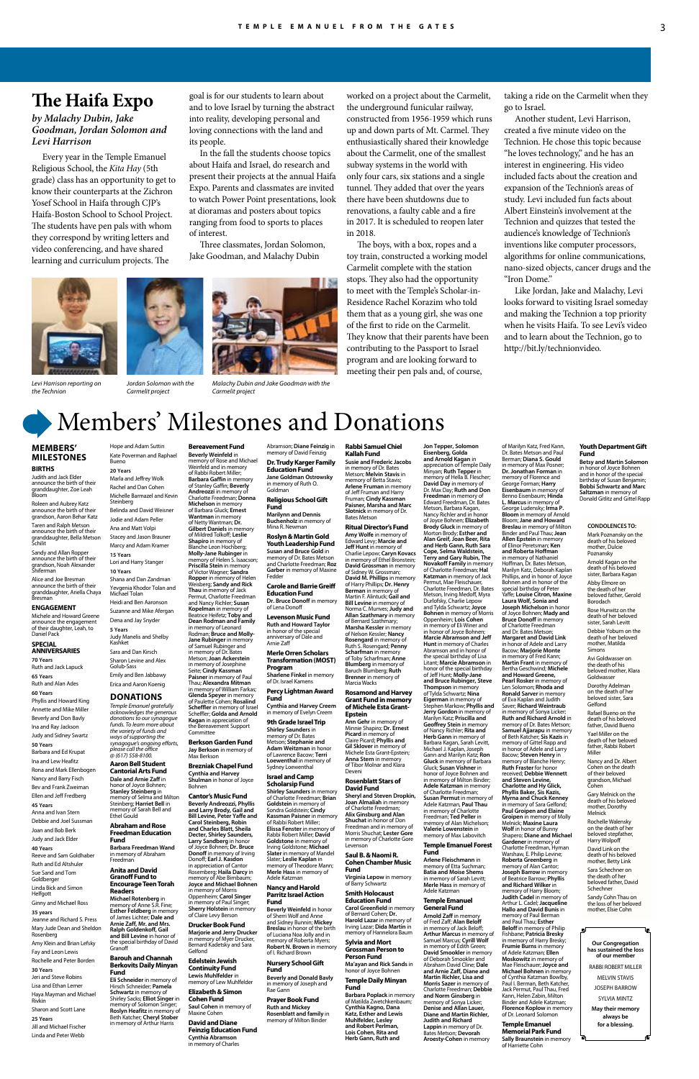Members' Milestones and Donations

**MEMBERS' MILESTONES**

**BIRTHS** Judith and Jack Elder announce the birth of their granddaughter, Zoe Leah

Bloom

**Schilit** 

Roleen and Aubrey Katz announce the birth of their grandson, Aaron Behar Katz Taren and Ralph Metson announce the birth of their granddaughter, Bella Metson

Sandy and Allan Ropper announce the birth of their grandson, Noah Alexander Shiferman Alice and Joe Bresman announce the birth of their granddaughter, Ariella Chaya Bresman

**ENGAGEMENT** Michele and Howard Greene announce the engagement of their daughter, Leah, to

Daniel Pack **SPECIAL ANNIVERSARIES 70 Years** Ruth and Jack Lapuck

**65 Years** Ruth and Alan Ades **60 Years**

Phyllis and Howard King Annette and Mike Miller Beverly and Don Bavly Ina and Ray Jackson Judy and Sidney Swartz

**50 Years**

Barbara and Ed Krupat Ina and Lew Heafitz Rona and Mark Ellenbogen Nancy and Barry Fisch

Bev and Frank Zweiman Ellen and Jeff Fredberg

#### **45 Years**

Anna and Ivan Stern Debbie and Joel Sussman Joan and Bob Berk Judy and Jack Elder

#### **40 Years**

Reeve and Sam Goldhaber

Ruth and Ed Altshuler Sue Sand and Tom Goldberger

Linda Bick and Simon Helfgott

Ginny and Michael Ross

#### **35 years**

Jeanne and Richard S. Press Mary Jude Dean and Sheldon Rosenberg

Amy Klein and Brian Lefsky Fay and Leon Lewis

Rochelle and Peter Borden **30 Years**

Jeri and Steve Robins Lisa and Ethan Lerner Haya Mayman and Michael Rivkin

Sharon and Scott Lane

#### **25 Years** Jill and Michael Fischer Linda and Peter Webb

# **Bereavement Fund Beverly Weinfeld** in memory of Rose and Michael Weinfeld and in memory of Rabbi Robert Miller; **Barbara Gaffin** in memory

**Jane Goldman Ostrowsky<br>in memory of Ruth O.**<br>Goldman

**Marilynn and Dennis<br><b>Buchenholz** in memory of<br>Mina R. Newman

of Stanley Gaffin; **Beverly Andreozzi** in memory of Charlotte Freedman; **Donna** 

**Michelson** in memory of Barbara Gluck; **Ernest Wantman** in memory

of Netty Wantman; **Dr. Gilbert Daniels** in memory of Mildred Tolkoff; **Leslie Shapiro** in memory of Blanche Leon Hochberg; **Molly-Jane Rubinger** in memory of Helen S. Isaacson; **Priscilla Stein** in memory of Victor Wagner; **Sandra Ropper** in memory of Helen Weisberg; **Sandy and Rick** 

> **Scholarsip Fund Shirley Saunders in**

Beatrice Heifetz; **Toby and Dean Rodman and Family** in memory of Leonard Rodman; **Bruce and Molly-Jane Rubinger** in memory of Samuel Rubinger and in memory of Dr. Bates Metson; **Joan Ackerstein** in memory of Josephine Seite; **Cindy Kassman Paisner** in memory of Paul Thau; **Alexandra Mitman**

in memory of William Farkas; **Glenda Speyer** in memory of Paulette Cohen; **Rosalind Scheffler** in memory of Israel Scheffler; **Golda and Arnold Kagan** in appreciation of the Bereavement Support

Committee

**Berkson Garden Fund Jay Berkson** in memory of Max Berkson **Brezniak Chapel Fund**

**Cynthia and Harvey Shulman** in honor of Joyce

Bohnen

**Cantor's Music Fund Beverly Andreozzi, Phyllis** 

**Carol Steinberg, Robin and Charles Blatt, Sheila Decter, Shirley Saunders, Larry Sandberg** in honor of Joyce Bohnen; **Dr. Bruce** 

in appreciation of Cantor

**Thau** in memory of Jack Permut, Charlotte Freedman and Nancy Richler; **Susan Kopelman** in memory of of Lena Donoff

in memory of Morris Oppenheim; **Carol Singer** in memory of Paul Singer; **Sherry Holstein** in memory of Claire Levy Berson **Drucker Book Fund Marjorie and Jerry Drucker** in memory of Myer Drucker, Bernard Kadetsky and Sara

Gelfond **Edelstein Jewish Continuity Fund Lewis Muhlfelder** in memory of Lew Muhlfelder **Elizabeth & Simon Cohen Fund Saul Cohen** in memory of Maxine Cohen

**Carol Greenfield** in memory of Bernard Cohen; **Dr. Harold Lazar** in memory of Irving Lazar; **Dida Martin** in memory of Hannelora Baum

#### **David and Diane Feinzig Education Fund**

**Cynthia Abramson** in memory of Charles

# Abramson; **Diane Feinzig** in memory of David Feinzig **Dr. Trudy Karger Family Education Fund**

**Religious School Gift Fund**

**Roslyn & Martin Gold Youth Leadership Fund**

**and Larry Brody, Gail and Bill Levine, Peter Yaffe and Donoff** in memory of Irving Donoff; **Earl J. Kasdon** Rosemberg; **Haila Darcy** in memory of Abe Birnbaum; **Joyce and Michael Bohnen** of Charlotte Freedman; **Brian Goldstein** in memory of Sondra Goldstein; **Cindy Kassman Paisner** in memory of Rabbi Robert Miller; **Elissa Fenster** in memory of Rabbi Robert Miller; **David Goldstone** in memory of Irving Goldstone; **Michael Slater** in memory of Mandel Slater; **Leslie Kaplan** in memory of Theodore Mann; **Merle Hass** in memory of Adele Katzman

**Susan and Bruce Gold** in memory of Dr. Bates Metson and Charlotte Freedman; **Roz** 

**Garber** in memory of Maxine Fedder **Carole and Barrie Greiff** 

> and Tylda Schwartz; **Joyce Bohnen** in memory of Morris Oppenheim; **Lois Cohen** in memory of Eli Winer and in honor of Joyce Bohnen; **Marcie Abramson and Jeff Hunt** in memory of Charles Abramson and in honor of the special birthday of Lisa Litant; **Marcie Abramson** in honor of the special birthday of Jeff Hunt; **Molly-Jane and Bruce Rubinger, Steve Thompson** in memory of Tylda Schwartz; **Nina Eigerman** in memory of Stephen Markow; **Phyllis and Jerry Gordon** in memory of Marilyn Katz; **Priscilla and Geoffrey Stein** in memory of Nancy Richler; **Rita and Herb Gann** in memory of<br>Barbara Kagan, Sarah Levitt,<br>Michael J. Kaplan, Joseph Gann and Marilyn Katz; **Ron Gluck** in memory of Barbara Gluck; **Susan Vishner** in honor of Joyce Bohnen and<br>in memory of Milton Binder; **Adele Katzman** in memory of Charlotte Freedman; **Susan Permut** in memory of Adele Katzman, **Paul Thau** in memory of Charlotte<br>Freedman; **Ted Peller** in<br>memory of Alan Michelson; **Valerie Lowenstein** in memory of Max Labovitch

**Education Fund**

**Dr. Bruce Donoff** in memory

**Levenson Music Fund Ruth and Howard Taylor**

in honor of the special anniversary of Dale and

Arnie Zaff

**Merle Orren Scholars Transformation (MOST) Program**

**Sharlene Finkel** in memory

of Dr. Israel Kamens

**Percy Lightman Award** 

**Fund Cynthia and Harvey Creem** in memory of Evelyn Creem **9th Grade Israel Trip**

**Shirley Saunders** in memory of Dr. Bates Metson; **Stephanie and Adam Weitzman** in honor of Lawrence Bacow; **Terri** 

**Loewenthal** in memory of Sydney Loewenthal

**Israel and Camp** 

#### **Nancy and Harold Parritz Israel Action Fund**

**Beverly Weinfeld** in honor of Sherri Wolf and Anne and Sidney Bunnin; **Mickey Breslau** in honor of the birth of Luciana Noa Jolly and in memory of Roberta Myers; **Robert N. Brown** in memory of I. Richard Brown

#### **Nursery School Gift Fund**

**Beverly and Donald Bavly** in memory of Joseph and Rae Gann

### **Prayer Book Fund**

**Ruth and Mickey Rosenblatt and family** in memory of Milton Binder

**Rabbi Samuel Chiel Kallah Fund Susie and Frederic Jacobs** in memory of Dr. Bates Metson; **Melvin Stavis** in memory of Betta Stavis; **Arlene Fruman** in memory

> Warshaw, E. Philip Levine; **Roberta Greenberg** in memory of Alan Cantor; **Joseph Barrow** in memory of Beatrice Barrow; **Phyllis and Richard Wilker** in memory of Harry Bloom;<br>**Judith Cadel** in memory of Arthur L. Cadel; **Jacqueline Hallo and David Bunis** in

of Jeff Fruman and Harry Fruman; **Cindy Kassman Paisner, Marsha and Marc Slotnick** in memory of Dr. Bates Metson **Ritual Director's Fund Amy Wolfe** in memory of Edward Levy; **Marcie and Jeff Hunt** in memory of Charlie Lepow; **Caryn Kovacs** in memory of Ethel Bronstein; **David Grossman** in memory of Sidney W. Grossman;<br>**David M. Phillips** in memory<br>of Harry Phillips; **Dr. Henry Berman** in memory of Martin F. Alintuck; **Gail and Bill Levine** in memory of Norma C. Munves; **Judy and Allan Szathmary** in memory of Bernard Szathmary; **Marsha Kessler** in memory of Nelson Kessler; **Nancy Rosengard** in memory of

Judy Manelis and Shelby Kashket Sara and Dan Kirsch Sharon Levine and Alex Golub-Sass Emily and Ben Jabbawy Erica and Aaron Koenig **DONATIONS** *Temple Emanuel gratefully acknowledges the generous donations to our synagogue funds. To learn more about the variety of funds and ways of supporting the synagogue's ongoing efforts, please call the office @ (617) 558-8100.* **Aaron Bell Student Cantorial Arts Fund Dale and Arnie Zaff** in honor of Joyce Bohnen;

**Gil Sklover** in memory of Michele Esta Grant-Epstein; **Anna Stern** in memory of Tibor Molnar and Klara

Deveni

**Rosenblatt Stars of David Fund**

**Sheryl and Steven Dropkin, Joan Almaliah** in memory of Charlotte Freedman; **Alix Ginsburg and Alan Shuchat** in honor of Don Freedman and in memory of Morris Shuchat; **Lester Gore** in memory of Charlotte Gore Levenson

**Ralph Goldenkoff, Gail Granoff** 

#### **Saul B. & Naomi R. Cohen Chamber Music Fund**

**Virginia Lepow** in memory of Barry Schwartz

#### **Smith Holocaust Education Fund**

Ruth S. Rosengard; **Penny Scharfman** in memory of Toby Scharfman; **Anne Blumberg** in memory of Baruch Blumberg; **Ruth Brenner** in memory of Marcia Wacks **Rosamond and Harvey Grant Fund in memory of Michele Esta Grant-Epstein Ann Gehr** in memory of Minnie Shapiro; **Dr. Ernest Picard** in memory of Claire Picard; **Phyllis and**  Charlotte Freedman, Dr. Bates Metson, Irving Medoff, Myra Durlofsky, Charlie Lepow

#### **Sylvia and Mort Grossman Person to Person Fund**

**Ma'ayan and Rick Sands** in honor of Joyce Bohnen

#### **Temple Daily Minyan Fund**

Nancy and Dr. Albert Cohen on the death of their beloved grandson, Michael Cohen

**Barbara Poplack** in memory of Matilda Zwetchkenbaum; **Cynthia Kagno, Dana Katz, Esther and Lewis Muhlfelder, Lesley and Robert Perlman, Lois Cohen, Rita and Herb Gann, Ruth and** 

Sara Schechner on the death of her beloved father, David schechner

memory of Hella B. Flescher; **David Day** in memory of Dr. Max Day; **Ruth and Don** 

**Freedman** in memory of<br>Edward Freedman, Dr. Bates<br>Metson, Barbara Kagan,

Nancy Richler and in honor of Joyce Bohnen; **Elizabeth Brody Gluck** in memory of

Morton Brody; **Esther and Alan Greif, Joan Beer, Rita and Herb Gann, Ruth Sara Cope, Selma Waldstein, Terry and Gary Rubin, The** 

#### **Temple Emanuel Forest Fund**

**Arlene Fleischmann** in memory of Etta Suchman; **Batia and Moise Shems** in memory of Sarah Levitt; **Merle Hass** in memory of Adele Katzman

#### **Temple Emanuel General Fund**

**Jon Tepper, Solomon Eisenberg, Golda and Arnold Kagan** in appreciation of Temple Daily Minyan; **Ruth Tepper** in **Novakoff Family** in memory of Charlotte Freedman; **Hal Katzman** in memory of Jack Permut, Mae Fleischauer, of Marilyn Katz, Fred Kann,<br>Dr. Bates Metson and Paul Berman; **Diana S. Gould** in memory of Max Posner; **Dr. Jonathan Forman** in memory of Florence and George Forman; **Harry Eisenbaum** in memory of Benno Eisenbaum; **Hinda L. Marcus** in memory of George Ludensky; **Irma P. Bloom** in memory of Arnold<br>Bloom; **Jane and Howard**<br>**Breslau** in memory of Milton Binder and Paul Thau; **Jean Allen Epstein** in memory of Elinor Peretsman; **Ken and Roberta Hoffman** in memory of Nathaniel<br>Hoffman, Dr. Bates Metson, Marilyn Katz, Deborah Kaplan Phillips, and in honor of Joyce Bohnen and in honor of the special birthday of Peter Yaffe; **Louise Citron, Maxine Laura Wolf, Sonia and Joseph Michelson** in honor of Joyce Bohnen; **Mady and Bruce Donoff** in memory of Charlotte Freedman<br>and Dr. Bates Metson;<br>**Margaret and David Link** in honor of Adele and Larry Bacow; **Marjorie Monte** in memory of Fred Kann; **Martin Frant** in memory of Bertha Geschwind; **Michele and Howard Greene, Pearl Rosker** in memory of Len Solomon; **Rhoda and Ronald Sarver** in memory of Eva Kaplan and Judith Saver; **Richard Weintraub**  in memory of Sonya Licker; **Ruth and Richard Arnold** in memory of Dr. Bates Metson; **Samuel Ajjarapu** in memory of Beth Katcher; **Sis Kazis** in memory of Gittel Rapp and in honor of Adele and Larry Bacow; **Steven Henry** in memory of Blanche Henry; **Ruth Fraster** for honor received; **Debbie Wennett and Steven Levine, Charlotte and Hy Glick,** 

**Phyllis Baker, 9** 

**Arnold Zaff** in memory of Fred Zaff; **Alan Beloff** in memory of Jack Beloff; **Arthur Marcus** in memory of Samuel Marcus; **Cyrill Wolf** in memory of Edith Green; **David Smookler** in memory of Deborah Smookler and Abraham David Cline; **Dale and Arnie Zaff, Diane and Martin Richler, Lisa and Morris Sazer** in memory of Charlotte Freedman; **Debbie and Norm Ginsberg** in memory of Sonya Licker; **Denise and Allan Lauer, Diane and Martin Richler, Judith and Richard Lappin** in memory of Dr. Bates Metson; **Devorah Aroesty-Cohen** in memory memory of Paul Berman and Paul Thau; **Esther Beloff** in memory of Philip Fishbane; **Patricia Bresky** in memory of Harry Bresky; **Frumie Burns** in memory **Frumie Burns** in memory<br>of Adele Katzman; **Ellen**<br>Mockey **Moskowitz** in memory of Mae Fleischauer; **Joyce and Michael Bohnen** in memory of Cynthia Katzman Bowlby,<br>Paul I. Berman, Beth Katcher, Jack Permut, Paul Thau, Fred Kann, Helen Zabin, Milton Binder and Adele Katzman; **Florence Koplow** in memory of Dr. Leonard Solomon **Temple Emanuel** 

**Memorial Park Fund Sally Braunstein** in memory of Harriette Cohn

Hope and Adam Suttin Kate Poverman and Raphael

Bueno **20 Years**

Marla and Jeffrey Wolk Rachel and Dan Cohen Michelle Barmazel and Kevin

Steinberg

Belinda and David Weisner Jodie and Adam Peller Ana and Matt Volpi Stacey and Jason Brauner Marcy and Adam Kramer

**15 Years**

Lori and Harry Stanger

**10 Years**

Shana and Dan Zandman Yevgenia Khodor Tolan and

Michael Tolan Heidi and Ben Aaronson Suzanne and Mike Afergan Dena and Jay Snyder

**5 Years**

**Myrna and Chuck Kenney** in memory of Sara Gelfond; **Paul Groipen and Elaine Groipen** in memory of Molly Melnick; **Maxine Laura Wolf** in honor of Bunny hapero; **Diane and Michael Gardener** in memory of Charlotte Freedman, Hyman death of his beloved

**Stanley Steinberg** in

memory of Selma and Milton Steinberg; **Harriet Bell** in memory of Sarah Bell and Ethel Gould

#### **Abraham and Rose Freedman Education Fund**

**Barbara Freedman Wand** in memory of Abraham Freedman

#### **Anita and David Granoff Fund to Encourage Teen Torah Readers**

**Michael Rotenberg** in memory of Anne S.R. Fine; **Esther Feldberg** in memory of James Lichter; **Dale and Arnie Zaff, Mr. and Mrs. and Bill Levine** in honor of the special birthday of David

### **Barouh and Channah Fund**

# **Berkovits Daily Minyan**

**Schwartz** in memory of Shirley Sacks; **Elliot Singer** in memory of Solomon Singer; **Roslyn Heafitz** in memory of

**Eli Schneider** in memory of Hirsch Schneider; **Pamela**  Beth Katcher; **Cheryl Stober** in memory of Arthur Harris **CONDOLENCES TO:**

Mark Poznansky on the death of his beloved mother, Dulcie Poznansky Arnold Kagan on the death of his beloved sister, Barbara Kagan Abby Elmore on the death of her beloved father, Gerold Borodach Rose Hurwitz on the death of her beloved sister, Sarah Levitt Debbie Yoburn on the death of her beloved mother, Matilda Simons Avi Goldwasser on the death of his beloved mother, Klara Goldwasser Dorothy Adelman on the death of her beloved sister, Sara Gelfond Rafael Bueno on the death of his beloved father, David Bueno

Yael Miller on the death of her beloved father, Rabbi Robert Miller

Gary Melnick on the

mother, Dorothy Melnick Rochelle Walensky on the death of her beloved stepfather, Harry Wolpoff David Link on the death of his beloved mother, Betty Link

> Sandy Cohn Thau on the loss of her beloved mother, Elsie Cohn

**Our Congregation has sustained the loss of our member**

RABBI ROBERT MILLER MELVIN STAVIS JOSEPH BARROW SYLVIA MINTZ **for a blessing.**

**May their memory always be**

#### **Youth Department Gift Fund**

**Betsy and Martin Solomon** in honor of Joyce Bohnen and in honor of the special birthday of Susan Benjamin; **Bobbi Schwartz and Marc Saltzman** in memory of Donald Gitlitz and Gittel Rapp

# **The Haifa Expo**

*by Malachy Dubin, Jake Goodman, Jordan Solomon and Levi Harrison*

Every year in the Temple Emanuel Religious School, the *Kita Hay* (5th grade) class has an opportunity to get to know their counterparts at the Zichron Yosef School in Haifa through CJP's Haifa-Boston School to School Project. The students have pen pals with whom they correspond by writing letters and video conferencing, and have shared learning and curriculum projects. The

goal is for our students to learn about and to love Israel by turning the abstract into reality, developing personal and loving connections with the land and its people.

In the fall the students choose topics about Haifa and Israel, do research and present their projects at the annual Haifa Expo. Parents and classmates are invited to watch Power Point presentations, look at dioramas and posters about topics ranging from food to sports to places of interest.

Three classmates, Jordan Solomon, Jake Goodman, and Malachy Dubin



worked on a project about the Carmelit, the underground funicular railway, constructed from 1956-1959 which runs up and down parts of Mt. Carmel. They enthusiastically shared their knowledge about the Carmelit, one of the smallest subway systems in the world with only four cars, six stations and a single tunnel. They added that over the years there have been shutdowns due to renovations, a faulty cable and a fire in 2017. It is scheduled to reopen later in 2018.

The boys, with a box, ropes and a toy train, constructed a working model Carmelit complete with the station stops. They also had the opportunity to meet with the Temple's Scholar-in-Residence Rachel Korazim who told them that as a young girl, she was one of the first to ride on the Carmelit. They know that their parents have been contributing to the Passport to Israel program and are looking forward to meeting their pen pals and, of course,

taking a ride on the Carmelit when they go to Israel.

Another student, Levi Harrison, created a five minute video on the Technion. He chose this topic because "he loves technology," and he has an interest in engineering. His video included facts about the creation and expansion of the Technion's areas of study. Levi included fun facts about Albert Einstein's involvement at the Technion and quizzes that tested the audience's knowledge of Technion's inventions like computer processors, algorithms for online communications, nano-sized objects, cancer drugs and the "Iron Dome."

Like Jordan, Jake and Malachy, Levi looks forward to visiting Israel someday and making the Technion a top priority when he visits Haifa. To see Levi's video and to learn about the Technion, go to http://bit.ly/technionvideo.

*Malachy Dubin and Jake Goodman with the Carmelit project*

*Jordan Solomon with the Carmelit project*

*Levi Harrison reporting on the Technion*